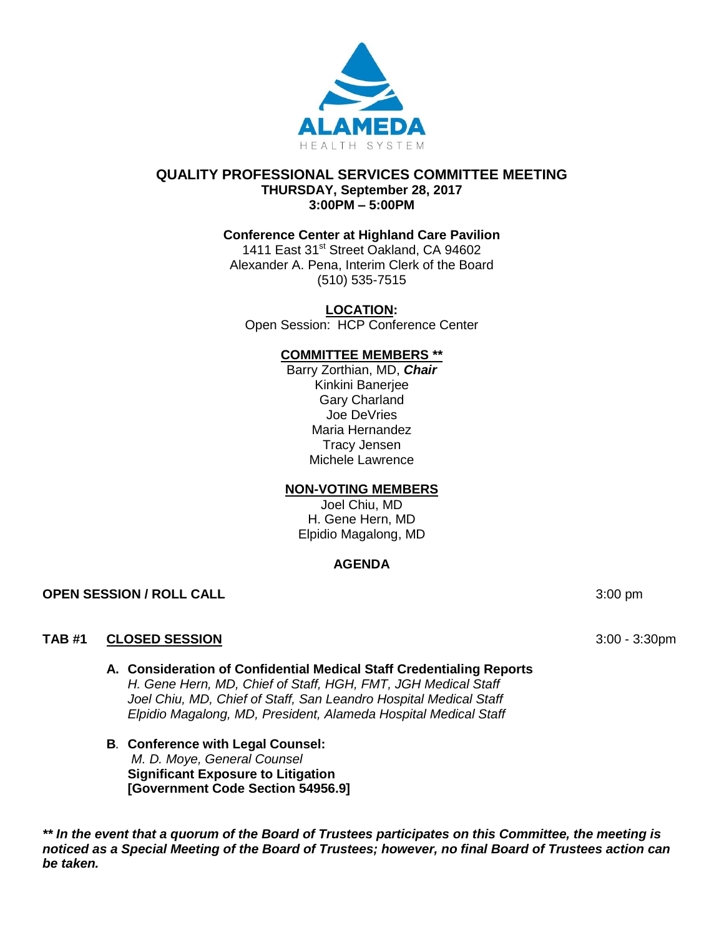

## **QUALITY PROFESSIONAL SERVICES COMMITTEE MEETING THURSDAY, September 28, 2017 3:00PM – 5:00PM**

# **Conference Center at Highland Care Pavilion**

1411 East 31<sup>st</sup> Street Oakland, CA 94602 Alexander A. Pena, Interim Clerk of the Board (510) 535-7515

**LOCATION:**

Open Session: HCP Conference Center

#### **COMMITTEE MEMBERS \*\***

Barry Zorthian, MD, *Chair* Kinkini Banerjee Gary Charland Joe DeVries Maria Hernandez Tracy Jensen Michele Lawrence

#### **NON-VOTING MEMBERS**

Joel Chiu, MD H. Gene Hern, MD Elpidio Magalong, MD

# **AGENDA**

**OPEN SESSION / ROLL CALL 3:00 pm** 

# **TAB #1 CLOSED SESSION** 3:00 - 3:30pm

- **A. Consideration of Confidential Medical Staff Credentialing Reports**  *H. Gene Hern, MD, Chief of Staff, HGH, FMT, JGH Medical Staff Joel Chiu, MD, Chief of Staff, San Leandro Hospital Medical Staff Elpidio Magalong, MD, President, Alameda Hospital Medical Staff*
- **B***.* **Conference with Legal Counsel:**  *M. D. Moye, General Counsel* **Significant Exposure to Litigation [Government Code Section 54956.9]**

*\*\* In the event that a quorum of the Board of Trustees participates on this Committee, the meeting is noticed as a Special Meeting of the Board of Trustees; however, no final Board of Trustees action can be taken.*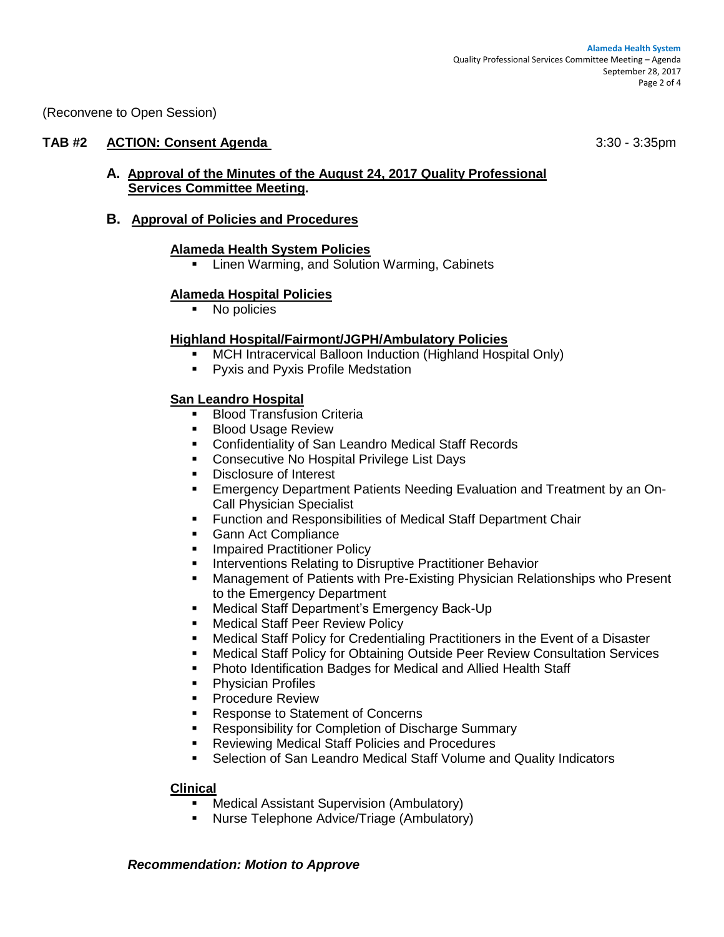(Reconvene to Open Session)

## **TAB #2 ACTION: Consent Agenda** 3:30 - 3:35pm

## **A. Approval of the Minutes of the August 24, 2017 Quality Professional Services Committee Meeting.**

## **B. Approval of Policies and Procedures**

## **Alameda Health System Policies**

**EXECT:** Linen Warming, and Solution Warming, Cabinets

#### **Alameda Hospital Policies**

• No policies

## **Highland Hospital/Fairmont/JGPH/Ambulatory Policies**

- MCH Intracervical Balloon Induction (Highland Hospital Only)
- **•** Pyxis and Pyxis Profile Medstation

## **San Leandro Hospital**

- Blood Transfusion Criteria
- **Blood Usage Review**
- Confidentiality of San Leandro Medical Staff Records
- **Consecutive No Hospital Privilege List Days**
- Disclosure of Interest
- Emergency Department Patients Needing Evaluation and Treatment by an On-Call Physician Specialist
- Function and Responsibilities of Medical Staff Department Chair
- **Gann Act Compliance**
- **Impaired Practitioner Policy**
- **Interventions Relating to Disruptive Practitioner Behavior**
- Management of Patients with Pre-Existing Physician Relationships who Present to the Emergency Department
- **Medical Staff Department's Emergency Back-Up**
- **Medical Staff Peer Review Policy**
- Medical Staff Policy for Credentialing Practitioners in the Event of a Disaster
- Medical Staff Policy for Obtaining Outside Peer Review Consultation Services
- Photo Identification Badges for Medical and Allied Health Staff
- **Physician Profiles**
- Procedure Review
- **Response to Statement of Concerns**
- Responsibility for Completion of Discharge Summary
- Reviewing Medical Staff Policies and Procedures
- Selection of San Leandro Medical Staff Volume and Quality Indicators

#### **Clinical**

- Medical Assistant Supervision (Ambulatory)
- Nurse Telephone Advice/Triage (Ambulatory)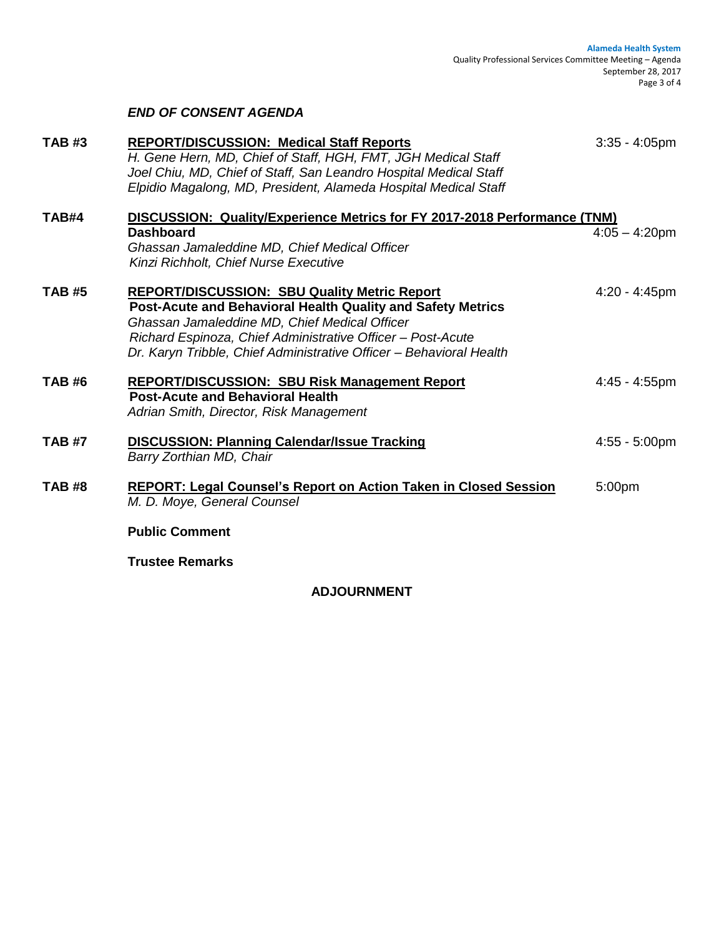| <b>TAB#3</b>  | <b>REPORT/DISCUSSION: Medical Staff Reports</b><br>H. Gene Hern, MD, Chief of Staff, HGH, FMT, JGH Medical Staff<br>Joel Chiu, MD, Chief of Staff, San Leandro Hospital Medical Staff<br>Elpidio Magalong, MD, President, Alameda Hospital Medical Staff                                                  | $3:35 - 4:05$ pm |
|---------------|-----------------------------------------------------------------------------------------------------------------------------------------------------------------------------------------------------------------------------------------------------------------------------------------------------------|------------------|
| TAB#4         | DISCUSSION: Quality/Experience Metrics for FY 2017-2018 Performance (TNM)<br><b>Dashboard</b><br>Ghassan Jamaleddine MD, Chief Medical Officer<br>Kinzi Richholt, Chief Nurse Executive                                                                                                                   | $4:05 - 4:20$ pm |
| <b>TAB #5</b> | <b>REPORT/DISCUSSION: SBU Quality Metric Report</b><br>Post-Acute and Behavioral Health Quality and Safety Metrics<br>Ghassan Jamaleddine MD, Chief Medical Officer<br>Richard Espinoza, Chief Administrative Officer - Post-Acute<br>Dr. Karyn Tribble, Chief Administrative Officer - Behavioral Health | $4:20 - 4:45$ pm |
| <b>TAB#6</b>  | <b>REPORT/DISCUSSION: SBU Risk Management Report</b><br><b>Post-Acute and Behavioral Health</b><br>Adrian Smith, Director, Risk Management                                                                                                                                                                | $4:45 - 4:55$ pm |
| <b>TAB #7</b> | <b>DISCUSSION: Planning Calendar/Issue Tracking</b><br>Barry Zorthian MD, Chair                                                                                                                                                                                                                           | $4:55 - 5:00$ pm |
| <b>TAB #8</b> | <b>REPORT: Legal Counsel's Report on Action Taken in Closed Session</b><br>M. D. Moye, General Counsel                                                                                                                                                                                                    | 5:00pm           |
|               | <b>Public Comment</b>                                                                                                                                                                                                                                                                                     |                  |

**Trustee Remarks**

*END OF CONSENT AGENDA*

# **ADJOURNMENT**